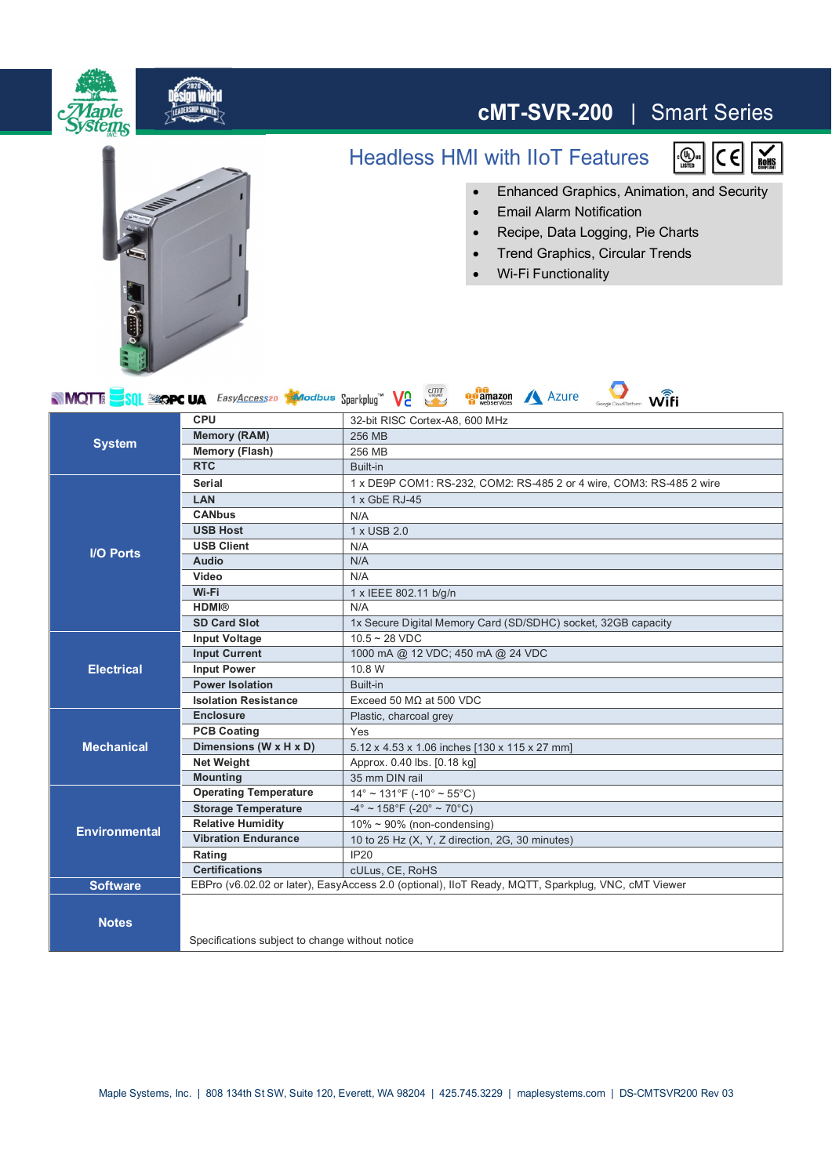